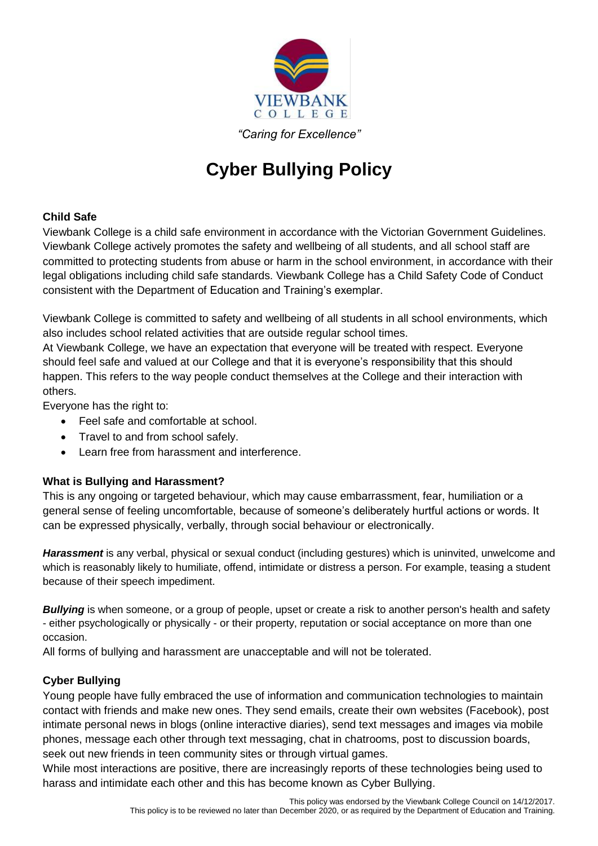

*"Caring for Excellence"*

# **Cyber Bullying Policy**

## **Child Safe**

Viewbank College is a child safe environment in accordance with the Victorian Government Guidelines. Viewbank College actively promotes the safety and wellbeing of all students, and all school staff are committed to protecting students from abuse or harm in the school environment, in accordance with their legal obligations including child safe standards. Viewbank College has a Child Safety Code of Conduct consistent with the Department of Education and Training's exemplar.

Viewbank College is committed to safety and wellbeing of all students in all school environments, which also includes school related activities that are outside regular school times.

At Viewbank College, we have an expectation that everyone will be treated with respect. Everyone should feel safe and valued at our College and that it is everyone's responsibility that this should happen. This refers to the way people conduct themselves at the College and their interaction with others.

Everyone has the right to:

- Feel safe and comfortable at school.
- Travel to and from school safely.
- Learn free from harassment and interference.

## **What is Bullying and Harassment?**

This is any ongoing or targeted behaviour, which may cause embarrassment, fear, humiliation or a general sense of feeling uncomfortable, because of someone's deliberately hurtful actions or words. It can be expressed physically, verbally, through social behaviour or electronically.

*Harassment* is any verbal, physical or sexual conduct (including gestures) which is uninvited, unwelcome and which is reasonably likely to humiliate, offend, intimidate or distress a person. For example, teasing a student because of their speech impediment.

**Bullying** is when someone, or a group of people, upset or create a risk to another person's health and safety - either psychologically or physically - or their property, reputation or social acceptance on more than one occasion.

All forms of bullying and harassment are unacceptable and will not be tolerated.

## **Cyber Bullying**

Young people have fully embraced the use of information and communication technologies to maintain contact with friends and make new ones. They send emails, create their own websites (Facebook), post intimate personal news in blogs (online interactive diaries), send text messages and images via mobile phones, message each other through text messaging, chat in chatrooms, post to discussion boards, seek out new friends in teen community sites or through virtual games.

While most interactions are positive, there are increasingly reports of these technologies being used to harass and intimidate each other and this has become known as Cyber Bullying.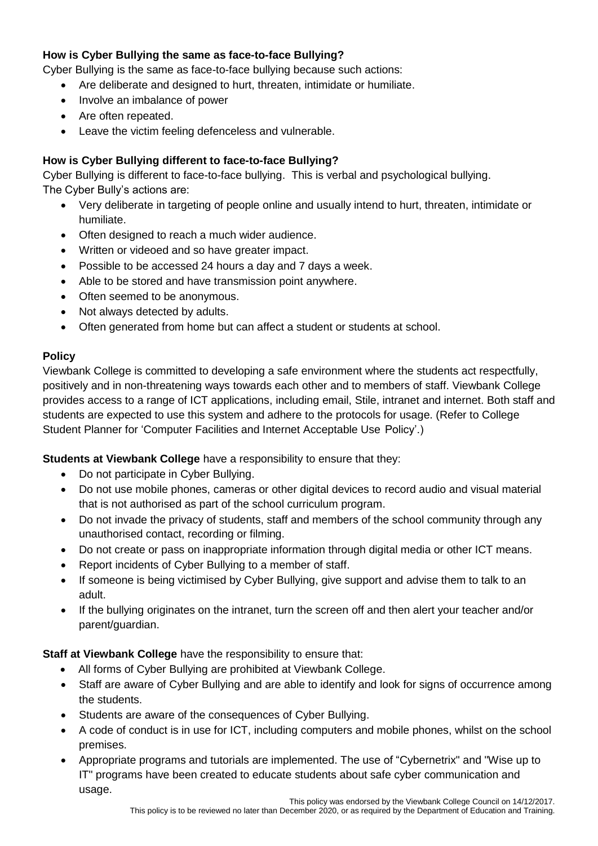# **How is Cyber Bullying the same as face-to-face Bullying?**

Cyber Bullying is the same as face-to-face bullying because such actions:

- Are deliberate and designed to hurt, threaten, intimidate or humiliate.
- Involve an imbalance of power
- Are often repeated.
- Leave the victim feeling defenceless and vulnerable.

## **How is Cyber Bullying different to face-to-face Bullying?**

Cyber Bullying is different to face-to-face bullying. This is verbal and psychological bullying. The Cyber Bully's actions are:

- Very deliberate in targeting of people online and usually intend to hurt, threaten, intimidate or humiliate.
- Often designed to reach a much wider audience.
- Written or videoed and so have greater impact.
- Possible to be accessed 24 hours a day and 7 days a week.
- Able to be stored and have transmission point anywhere.
- Often seemed to be anonymous.
- Not always detected by adults.
- Often generated from home but can affect a student or students at school.

## **Policy**

Viewbank College is committed to developing a safe environment where the students act respectfully, positively and in non-threatening ways towards each other and to members of staff. Viewbank College provides access to a range of ICT applications, including email, Stile, intranet and internet. Both staff and students are expected to use this system and adhere to the protocols for usage. (Refer to College Student Planner for 'Computer Facilities and Internet Acceptable Use Policy'.)

## **Students at Viewbank College** have a responsibility to ensure that they:

- Do not participate in Cyber Bullying.
- Do not use mobile phones, cameras or other digital devices to record audio and visual material that is not authorised as part of the school curriculum program.
- Do not invade the privacy of students, staff and members of the school community through any unauthorised contact, recording or filming.
- Do not create or pass on inappropriate information through digital media or other ICT means.
- Report incidents of Cyber Bullying to a member of staff.
- If someone is being victimised by Cyber Bullying, give support and advise them to talk to an adult.
- If the bullying originates on the intranet, turn the screen off and then alert your teacher and/or parent/guardian.

**Staff at Viewbank College** have the responsibility to ensure that:

- All forms of Cyber Bullying are prohibited at Viewbank College.
- Staff are aware of Cyber Bullying and are able to identify and look for signs of occurrence among the students.
- Students are aware of the consequences of Cyber Bullying.
- A code of conduct is in use for ICT, including computers and mobile phones, whilst on the school premises.
- Appropriate programs and tutorials are implemented. The use of "Cybernetrix" and "Wise up to IT" programs have been created to educate students about safe cyber communication and usage.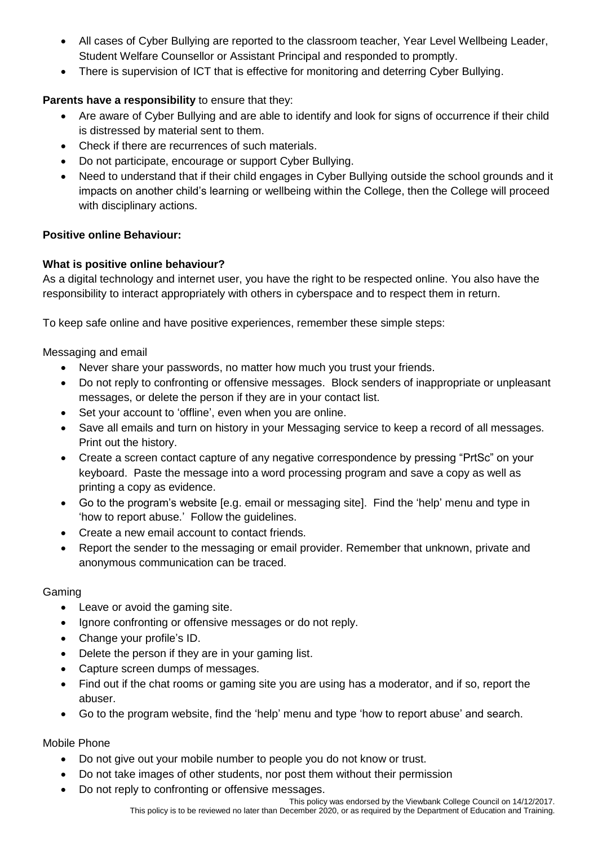- All cases of Cyber Bullying are reported to the classroom teacher, Year Level Wellbeing Leader, Student Welfare Counsellor or Assistant Principal and responded to promptly.
- There is supervision of ICT that is effective for monitoring and deterring Cyber Bullying.

# **Parents have a responsibility** to ensure that they:

- Are aware of Cyber Bullying and are able to identify and look for signs of occurrence if their child is distressed by material sent to them.
- Check if there are recurrences of such materials.
- Do not participate, encourage or support Cyber Bullying.
- Need to understand that if their child engages in Cyber Bullying outside the school grounds and it impacts on another child's learning or wellbeing within the College, then the College will proceed with disciplinary actions.

## **Positive online Behaviour:**

## **What is positive online behaviour?**

As a digital technology and internet user, you have the right to be respected online. You also have the responsibility to interact appropriately with others in cyberspace and to respect them in return.

To keep safe online and have positive experiences, remember these simple steps:

Messaging and email

- Never share your passwords, no matter how much you trust your friends.
- Do not reply to confronting or offensive messages. Block senders of inappropriate or unpleasant messages, or delete the person if they are in your contact list.
- Set your account to 'offline', even when you are online.
- Save all emails and turn on history in your Messaging service to keep a record of all messages. Print out the history.
- Create a screen contact capture of any negative correspondence by pressing "PrtSc" on your keyboard. Paste the message into a word processing program and save a copy as well as printing a copy as evidence.
- Go to the program's website [e.g. email or messaging site]. Find the 'help' menu and type in 'how to report abuse.' Follow the guidelines.
- Create a new email account to contact friends.
- Report the sender to the messaging or email provider. Remember that unknown, private and anonymous communication can be traced.

## Gaming

- Leave or avoid the gaming site.
- Ignore confronting or offensive messages or do not reply.
- Change your profile's ID.
- Delete the person if they are in your gaming list.
- Capture screen dumps of messages.
- Find out if the chat rooms or gaming site you are using has a moderator, and if so, report the abuser.
- Go to the program website, find the 'help' menu and type 'how to report abuse' and search.

#### Mobile Phone

- Do not give out your mobile number to people you do not know or trust.
- Do not take images of other students, nor post them without their permission
- Do not reply to confronting or offensive messages.